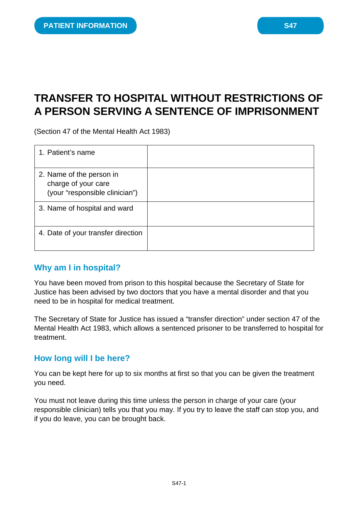# **TRANSFER TO HOSPITAL WITHOUT RESTRICTIONS OF A PERSON SERVING A SENTENCE OF IMPRISONMENT**

(Section 47 of the Mental Health Act 1983)

| 1. Patient's name                                                                 |  |
|-----------------------------------------------------------------------------------|--|
| 2. Name of the person in<br>charge of your care<br>(your "responsible clinician") |  |
| 3. Name of hospital and ward                                                      |  |
| 4. Date of your transfer direction                                                |  |

## **Why am I in hospital?**

You have been moved from prison to this hospital because the Secretary of State for Justice has been advised by two doctors that you have a mental disorder and that you need to be in hospital for medical treatment.

The Secretary of State for Justice has issued a "transfer direction" under section 47 of the Mental Health Act 1983, which allows a sentenced prisoner to be transferred to hospital for treatment.

## **How long will I be here?**

You can be kept here for up to six months at first so that you can be given the treatment you need.

You must not leave during this time unless the person in charge of your care (your responsible clinician) tells you that you may. If you try to leave the staff can stop you, and if you do leave, you can be brought back.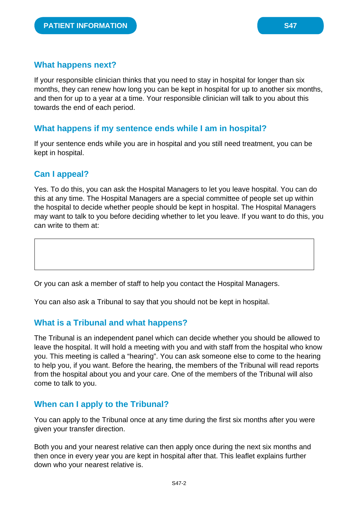### **What happens next?**

If your responsible clinician thinks that you need to stay in hospital for longer than six months, they can renew how long you can be kept in hospital for up to another six months, and then for up to a year at a time. Your responsible clinician will talk to you about this towards the end of each period.

## **What happens if my sentence ends while I am in hospital?**

If your sentence ends while you are in hospital and you still need treatment, you can be kept in hospital.

## **Can I appeal?**

Yes. To do this, you can ask the Hospital Managers to let you leave hospital. You can do this at any time. The Hospital Managers are a special committee of people set up within the hospital to decide whether people should be kept in hospital. The Hospital Managers may want to talk to you before deciding whether to let you leave. If you want to do this, you can write to them at:

Or you can ask a member of staff to help you contact the Hospital Managers.

You can also ask a Tribunal to say that you should not be kept in hospital.

## **What is a Tribunal and what happens?**

The Tribunal is an independent panel which can decide whether you should be allowed to leave the hospital. It will hold a meeting with you and with staff from the hospital who know you. This meeting is called a "hearing". You can ask someone else to come to the hearing to help you, if you want. Before the hearing, the members of the Tribunal will read reports from the hospital about you and your care. One of the members of the Tribunal will also come to talk to you.

## **When can I apply to the Tribunal?**

You can apply to the Tribunal once at any time during the first six months after you were given your transfer direction.

Both you and your nearest relative can then apply once during the next six months and then once in every year you are kept in hospital after that. This leaflet explains further down who your nearest relative is.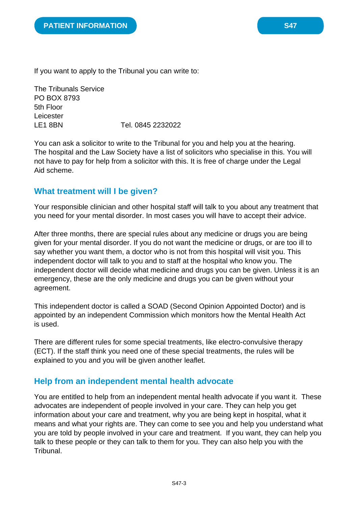If you want to apply to the Tribunal you can write to:

The Tribunals Service PO BOX 8793 5th Floor Leicester LE1 8BN Tel. 0845 2232022

You can ask a solicitor to write to the Tribunal for you and help you at the hearing. The hospital and the Law Society have a list of solicitors who specialise in this. You will not have to pay for help from a solicitor with this. It is free of charge under the Legal Aid scheme.

#### **What treatment will I be given?**

Your responsible clinician and other hospital staff will talk to you about any treatment that you need for your mental disorder. In most cases you will have to accept their advice.

After three months, there are special rules about any medicine or drugs you are being given for your mental disorder. If you do not want the medicine or drugs, or are too ill to say whether you want them, a doctor who is not from this hospital will visit you. This independent doctor will talk to you and to staff at the hospital who know you. The independent doctor will decide what medicine and drugs you can be given. Unless it is an emergency, these are the only medicine and drugs you can be given without your agreement.

This independent doctor is called a SOAD (Second Opinion Appointed Doctor) and is appointed by an independent Commission which monitors how the Mental Health Act is used.

There are different rules for some special treatments, like electro-convulsive therapy (ECT). If the staff think you need one of these special treatments, the rules will be explained to you and you will be given another leaflet.

## **Help from an independent mental health advocate**

You are entitled to help from an independent mental health advocate if you want it. These advocates are independent of people involved in your care. They can help you get information about your care and treatment, why you are being kept in hospital, what it means and what your rights are. They can come to see you and help you understand what you are told by people involved in your care and treatment. If you want, they can help you talk to these people or they can talk to them for you. They can also help you with the Tribunal.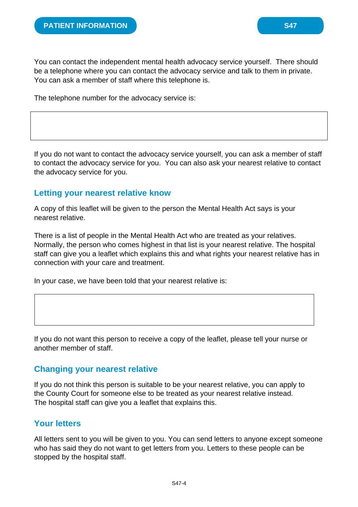You can contact the independent mental health advocacy service yourself. There should be a telephone where you can contact the advocacy service and talk to them in private. You can ask a member of staff where this telephone is.

The telephone number for the advocacy service is:

If you do not want to contact the advocacy service yourself, you can ask a member of staff to contact the advocacy service for you. You can also ask your nearest relative to contact the advocacy service for you.

#### **Letting your nearest relative know**

A copy of this leaflet will be given to the person the Mental Health Act says is your nearest relative.

There is a list of people in the Mental Health Act who are treated as your relatives. Normally, the person who comes highest in that list is your nearest relative. The hospital staff can give you a leaflet which explains this and what rights your nearest relative has in connection with your care and treatment.

In your case, we have been told that your nearest relative is:

If you do not want this person to receive a copy of the leaflet, please tell your nurse or another member of staff.

#### **Changing your nearest relative**

If you do not think this person is suitable to be your nearest relative, you can apply to the County Court for someone else to be treated as your nearest relative instead. The hospital staff can give you a leaflet that explains this.

## **Your letters**

All letters sent to you will be given to you. You can send letters to anyone except someone who has said they do not want to get letters from you. Letters to these people can be stopped by the hospital staff.